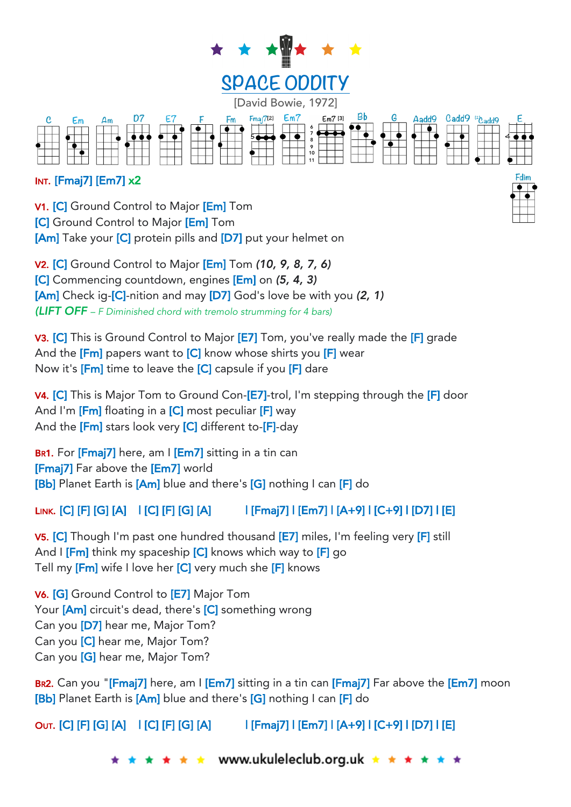

## INT. [Fmaj7] [Em7] x2

V1. [C] Ground Control to Major [Em] Tom **[C]** Ground Control to Major **[Em]** Tom [Am] Take your [C] protein pills and [D7] put your helmet on

V2. [C] Ground Control to Major [Em] Tom *(10, 9, 8, 7, 6)* [C] Commencing countdown, engines [Em] on *(5, 4, 3)* [Am] Check ig-[C]-nition and may [D7] God's love be with you *(2, 1) (LIFT OFF – F Diminished chord with tremolo strumming for 4 bars)*

V3. [C] This is Ground Control to Major [E7] Tom, you've really made the [F] grade And the  $[Fm]$  papers want to  $[C]$  know whose shirts you  $[F]$  wear Now it's [Fm] time to leave the [C] capsule if you [F] dare

V4. [C] This is Major Tom to Ground Con-[E7]-trol, I'm stepping through the [F] door And I'm  $[Fm]$  floating in a  $[C]$  most peculiar  $[F]$  way And the [Fm] stars look very [C] different to-[F]-day

BR1. For [Fmaj7] here, am I [Em7] sitting in a tin can [Fmaj7] Far above the [Em7] world [Bb] Planet Earth is [Am] blue and there's [G] nothing I can [F] do

## LINK. [C] [F] [G] [A] | [C] [F] [G] [A] | [Fmaj7] | [Em7] | [A+9] | [C+9] | [D7] | [E]

V5. [C] Though I'm past one hundred thousand [E7] miles, I'm feeling very [F] still And I [Fm] think my spaceship [C] knows which way to [F] go Tell my [Fm] wife I love her [C] very much she [F] knows

V6. [G] Ground Control to [E7] Major Tom Your [Am] circuit's dead, there's [C] something wrong Can you [D7] hear me, Major Tom? Can you [C] hear me, Major Tom? Can you [G] hear me, Major Tom?

BR2. Can you "[Fmaj7] here, am I [Em7] sitting in a tin can [Fmaj7] Far above the [Em7] moon [Bb] Planet Earth is [Am] blue and there's [G] nothing I can [F] do

OUT. [C] [F] [G] [A] | [C] [F] [G] [A] | [Fmaj7] | [Em7] | [A+9] | [C+9] | [D7] | [E]

 $\star \star$  www.ukuleleclub.org.uk  $\star \star \star$